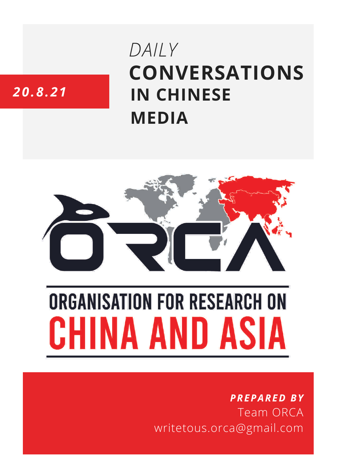# **CONVERSATIONS IN CHINESE MEDIA** *DAILY*

# *20.8.21*



# **ORGANISATION FOR RESEARCH ON** HINA AND ASIA

## *PREPARED BY* Team ORCA writetous.orca@gmail.com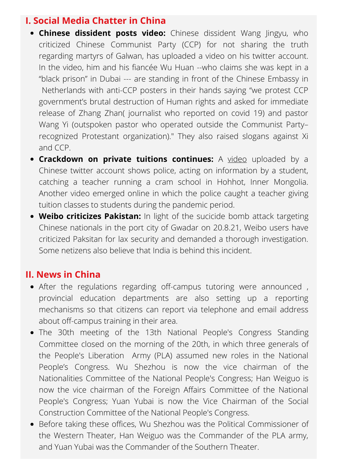#### **I. Social Media Chatter in China**

- **Chinese dissident posts video:** Chinese dissident Wang Jingyu, who criticized Chinese Communist Party (CCP) for not sharing the truth regarding martyrs of Galwan, has uploaded a video on his twitter account. In the video, him and his fiancée Wu Huan --who claims she was kept in a "black prison" in Dubai --- are standing in front of the Chinese Embassy in Netherlands with anti-CCP posters in their hands saying "we protest CCP government's brutal destruction of Human rights and asked for immediate release of Zhang Zhan( journalist who reported on covid 19) and pastor Wang Yi (outspoken pastor who operated outside the Communist Party– recognized Protestant organization)." They also raised slogans against Xi and CCP.
- **Crackdown on private tuitions continues:** A [video](https://twitter.com/lunanweiyi/status/1428210088062472195) uploaded by a Chinese twitter account shows police, acting on information by a student, catching a teacher running a cram school in Hohhot, Inner Mongolia. Another video emerged online in which the police caught a teacher giving tuition classes to students during the pandemic period.
- **Weibo criticizes Pakistan:** In light of the sucicide bomb attack targeting Chinese nationals in the port city of Gwadar on 20.8.21, Weibo users have criticized Paksitan for lax security and demanded a thorough investigation. Some netizens also believe that India is behind this incident.

### **II. News in China**

- After the regulations regarding off-campus tutoring were announced , provincial education departments are also setting up a reporting mechanisms so that citizens can report via telephone and email address about off-campus training in their area.
- The 30th meeting of the 13th National People's Congress Standing Committee closed on the morning of the 20th, in which three generals of the People's Liberation Army (PLA) assumed new roles in the National People's Congress. Wu Shezhou is now the vice chairman of the Nationalities Committee of the National People's Congress; Han Weiguo is now the vice chairman of the Foreign Affairs Committee of the National People's Congress; Yuan Yubai is now the Vice Chairman of the Social Construction Committee of the National People's Congress.
- Before taking these offices, Wu Shezhou was the Political Commissioner of the Western Theater, Han Weiguo was the Commander of the PLA army, and Yuan Yubai was the Commander of the Southern Theater.